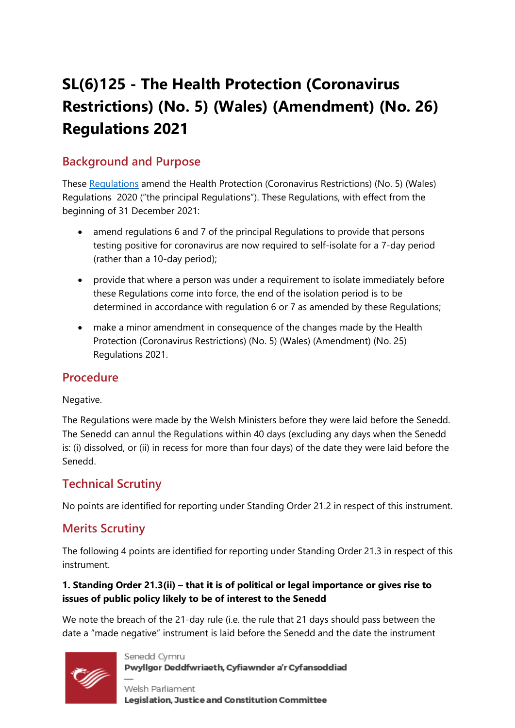# **SL(6)125 - The Health Protection (Coronavirus Restrictions) (No. 5) (Wales) (Amendment) (No. 26) Regulations 2021**

# **Background and Purpose**

These [Regulations](https://business.senedd.wales/mgIssueHistoryHome.aspx?IId=38552) amend the Health Protection (Coronavirus Restrictions) (No. 5) (Wales) Regulations 2020 ("the principal Regulations"). These Regulations, with effect from the beginning of 31 December 2021:

- amend regulations 6 and 7 of the principal Regulations to provide that persons testing positive for coronavirus are now required to self-isolate for a 7-day period (rather than a 10-day period);
- provide that where a person was under a requirement to isolate immediately before these Regulations come into force, the end of the isolation period is to be determined in accordance with regulation 6 or 7 as amended by these Regulations;
- make a minor amendment in consequence of the changes made by the Health Protection (Coronavirus Restrictions) (No. 5) (Wales) (Amendment) (No. 25) Regulations 2021.

## **Procedure**

#### Negative.

The Regulations were made by the Welsh Ministers before they were laid before the Senedd. The Senedd can annul the Regulations within 40 days (excluding any days when the Senedd is: (i) dissolved, or (ii) in recess for more than four days) of the date they were laid before the Senedd.

## **Technical Scrutiny**

No points are identified for reporting under Standing Order 21.2 in respect of this instrument.

## **Merits Scrutiny**

The following 4 points are identified for reporting under Standing Order 21.3 in respect of this instrument.

#### **1. Standing Order 21.3(ii) – that it is of political or legal importance or gives rise to issues of public policy likely to be of interest to the Senedd**

We note the breach of the 21-day rule (i.e. the rule that 21 days should pass between the date a "made negative" instrument is laid before the Senedd and the date the instrument



Senedd Cymru Pwyllgor Deddfwriaeth, Cyfiawnder a'r Cyfansoddiad

Welsh Parliament Legislation, Justice and Constitution Committee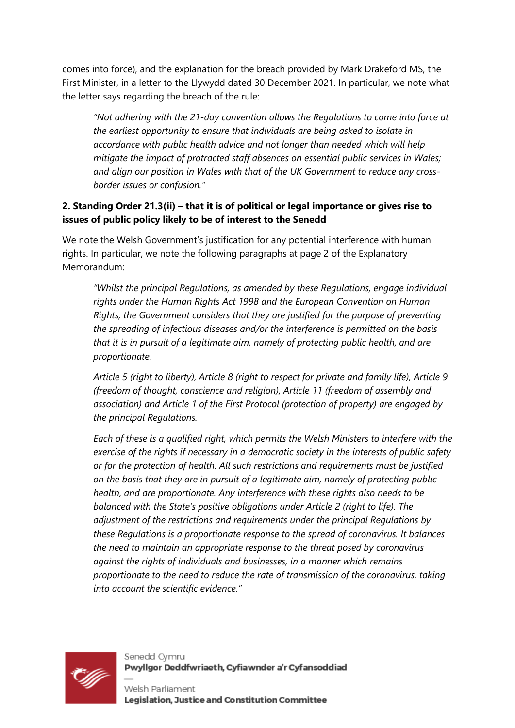comes into force), and the explanation for the breach provided by Mark Drakeford MS, the First Minister, in a letter to the Llywydd dated 30 December 2021. In particular, we note what the letter says regarding the breach of the rule:

*"Not adhering with the 21-day convention allows the Regulations to come into force at the earliest opportunity to ensure that individuals are being asked to isolate in accordance with public health advice and not longer than needed which will help mitigate the impact of protracted staff absences on essential public services in Wales; and align our position in Wales with that of the UK Government to reduce any crossborder issues or confusion."*

#### **2. Standing Order 21.3(ii) – that it is of political or legal importance or gives rise to issues of public policy likely to be of interest to the Senedd**

We note the Welsh Government's justification for any potential interference with human rights. In particular, we note the following paragraphs at page 2 of the Explanatory Memorandum:

*"Whilst the principal Regulations, as amended by these Regulations, engage individual rights under the Human Rights Act 1998 and the European Convention on Human Rights, the Government considers that they are justified for the purpose of preventing the spreading of infectious diseases and/or the interference is permitted on the basis that it is in pursuit of a legitimate aim, namely of protecting public health, and are proportionate.* 

*Article 5 (right to liberty), Article 8 (right to respect for private and family life), Article 9 (freedom of thought, conscience and religion), Article 11 (freedom of assembly and association) and Article 1 of the First Protocol (protection of property) are engaged by the principal Regulations.* 

*Each of these is a qualified right, which permits the Welsh Ministers to interfere with the exercise of the rights if necessary in a democratic society in the interests of public safety or for the protection of health. All such restrictions and requirements must be justified on the basis that they are in pursuit of a legitimate aim, namely of protecting public health, and are proportionate. Any interference with these rights also needs to be balanced with the State's positive obligations under Article 2 (right to life). The adjustment of the restrictions and requirements under the principal Regulations by these Regulations is a proportionate response to the spread of coronavirus. It balances the need to maintain an appropriate response to the threat posed by coronavirus against the rights of individuals and businesses, in a manner which remains proportionate to the need to reduce the rate of transmission of the coronavirus, taking into account the scientific evidence."*



Senedd Cymru Pwyllgor Deddfwriaeth, Cyfiawnder a'r Cyfansoddiad

Welsh Parliament Legislation, Justice and Constitution Committee